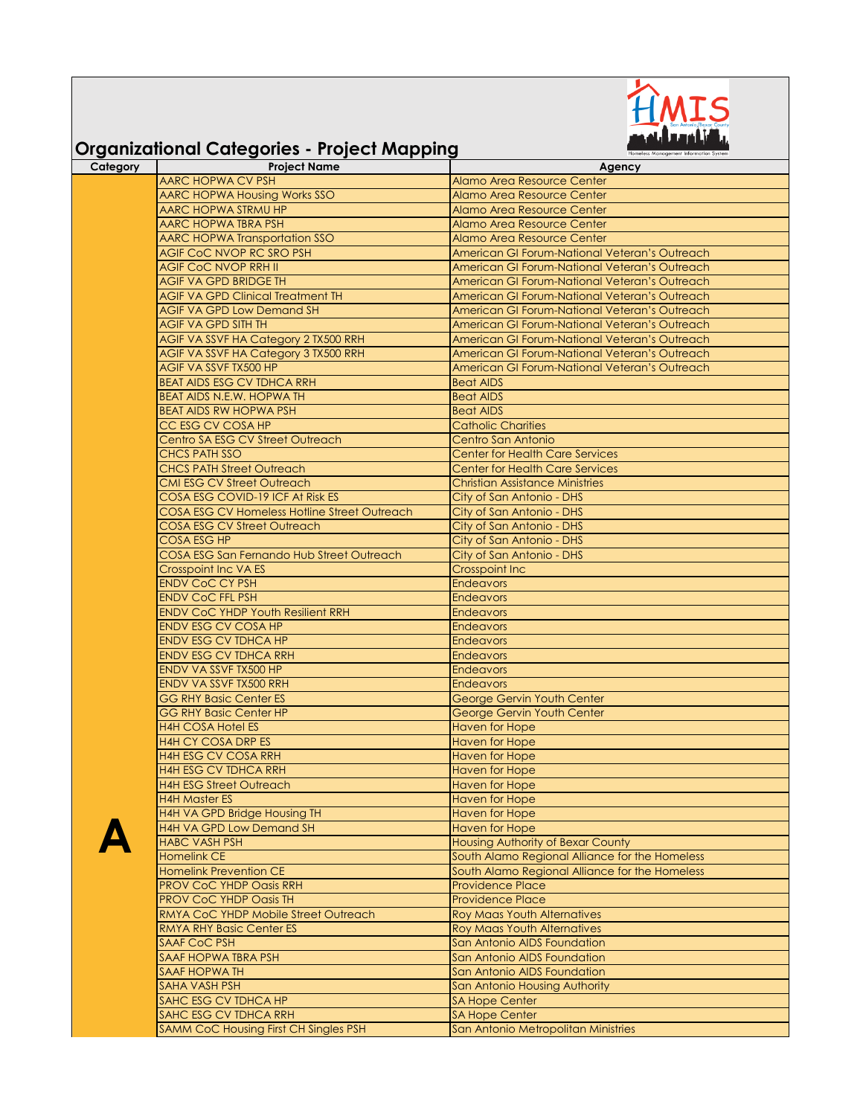

## **Organizational Categories - Project Mapping**

| igamzanonai caregones — rojeer mapping                    | Homeless Management Information System         |
|-----------------------------------------------------------|------------------------------------------------|
| <b>Project Name</b>                                       | Agency                                         |
| <b>AARC HOPWA CV PSH</b>                                  | Alamo Area Resource Center                     |
| <b>AARC HOPWA Housing Works SSO</b>                       | Alamo Area Resource Center                     |
| <b>AARC HOPWA STRMU HP</b>                                | <b>Alamo Area Resource Center</b>              |
| <b>AARC HOPWA TBRA PSH</b>                                | <b>Alamo Area Resource Center</b>              |
| <b>AARC HOPWA Transportation SSO</b>                      | <b>Alamo Area Resource Center</b>              |
| <b>AGIF COC NVOP RC SRO PSH</b>                           | American GI Forum-National Veteran's Outreach  |
| <b>AGIF COC NVOP RRH II</b>                               | American GI Forum-National Veteran's Outreach  |
| <b>AGIF VA GPD BRIDGE TH</b>                              | American GI Forum-National Veteran's Outreach  |
| <b>AGIF VA GPD Clinical Treatment TH</b>                  | American GI Forum-National Veteran's Outreach  |
| <b>AGIF VA GPD Low Demand SH</b>                          | American GI Forum-National Veteran's Outreach  |
| <b>AGIF VA GPD SITH TH</b>                                | American GI Forum-National Veteran's Outreach  |
| AGIF VA SSVF HA Category 2 TX500 RRH                      | American GI Forum-National Veteran's Outreach  |
| <b>AGIF VA SSVF HA Category 3 TX500 RRH</b>               | American GI Forum-National Veteran's Outreach  |
| AGIF VA SSVF TX500 HP                                     | American GI Forum-National Veteran's Outreach  |
| <b>BEAT AIDS ESG CV TDHCA RRH</b>                         |                                                |
|                                                           | <b>Beat AIDS</b>                               |
| BEAT AIDS N.E.W. HOPWA TH                                 | <b>Beat AIDS</b>                               |
| <b>BEAT AIDS RW HOPWA PSH</b>                             | <b>Beat AIDS</b>                               |
| CC ESG CV COSA HP                                         | <b>Catholic Charities</b>                      |
| Centro SA ESG CV Street Outreach                          | Centro San Antonio                             |
| <b>CHCS PATH SSO</b>                                      | <b>Center for Health Care Services</b>         |
| <b>CHCS PATH Street Outreach</b>                          | <b>Center for Health Care Services</b>         |
| <b>CMI ESG CV Street Outreach</b>                         | Christian Assistance Ministries                |
| COSA ESG COVID-19 ICF At Risk ES                          | City of San Antonio - DHS                      |
| <b>COSA ESG CV Homeless Hotline Street Outreach</b>       | City of San Antonio - DHS                      |
| <b>COSA ESG CV Street Outreach</b>                        | City of San Antonio - DHS                      |
| <b>COSA ESG HP</b>                                        | City of San Antonio - DHS                      |
| COSA ESG San Fernando Hub Street Outreach                 | City of San Antonio - DHS                      |
| Crosspoint Inc VA ES                                      | <b>Crosspoint Inc</b>                          |
| <b>ENDV CoC CY PSH</b>                                    | <b>Endeavors</b>                               |
| <b>ENDV CoC FFL PSH</b>                                   | <b>Endeavors</b>                               |
| <b>ENDV CoC YHDP Youth Resilient RRH</b>                  | <b>Endeavors</b>                               |
| ENDV ESG CV COSA HP                                       | Endeavors                                      |
| <b>ENDV ESG CV TDHCA HP</b>                               | <b>Endeavors</b>                               |
| <b>ENDV ESG CV TDHCA RRH</b>                              | <b>Endeavors</b>                               |
| ENDV VA SSVF TX500 HP                                     | <b>Endeavors</b>                               |
| ENDV VA SSVF TX500 RRH                                    | <b>Endeavors</b>                               |
| <b>GG RHY Basic Center ES</b>                             | George Gervin Youth Center                     |
| <b>GG RHY Basic Center HP</b>                             | <b>George Gervin Youth Center</b>              |
| <b>H4H COSA Hotel ES</b>                                  | <b>Haven for Hope</b>                          |
|                                                           |                                                |
| <b>H4H CY COSA DRP ES</b>                                 | <b>Haven for Hope</b>                          |
| <b>H4H ESG CV COSA RRH</b><br><b>H4H ESG CV TDHCA RRH</b> | <b>Haven for Hope</b>                          |
|                                                           | <b>Haven for Hope</b>                          |
| <b>H4H ESG Street Outreach</b>                            | <b>Haven for Hope</b>                          |
| <b>H4H Master ES</b>                                      | Haven for Hope                                 |
| H4H VA GPD Bridge Housing TH                              | <b>Haven for Hope</b>                          |
| H4H VA GPD Low Demand SH                                  | Haven for Hope                                 |
| <b>HABC VASH PSH</b>                                      | <b>Housing Authority of Bexar County</b>       |
| Homelink CE                                               | South Alamo Regional Alliance for the Homeless |
| <b>Homelink Prevention CE</b>                             | South Alamo Regional Alliance for the Homeless |
| PROV CoC YHDP Oasis RRH                                   | <b>Providence Place</b>                        |
| PROV CoC YHDP Oasis TH                                    | <b>Providence Place</b>                        |
| RMYA CoC YHDP Mobile Street Outreach                      | <b>Roy Maas Youth Alternatives</b>             |
| <b>RMYA RHY Basic Center ES</b>                           | <b>Roy Maas Youth Alternatives</b>             |
| <b>SAAF CoC PSH</b>                                       | San Antonio AIDS Foundation                    |
| <b>SAAF HOPWA TBRA PSH</b>                                | San Antonio AIDS Foundation                    |
| SAAF HOPWA TH                                             | San Antonio AIDS Foundation                    |
| SAHA VASH PSH                                             |                                                |
|                                                           | San Antonio Housing Authority                  |
| SAHC ESG CV TDHCA HP                                      | <b>SA Hope Center</b>                          |
| SAHC ESG CV TDHCA RRH                                     | <b>SA Hope Center</b>                          |
| SAMM CoC Housing First CH Singles PSH                     | San Antonio Metropolitan Ministries            |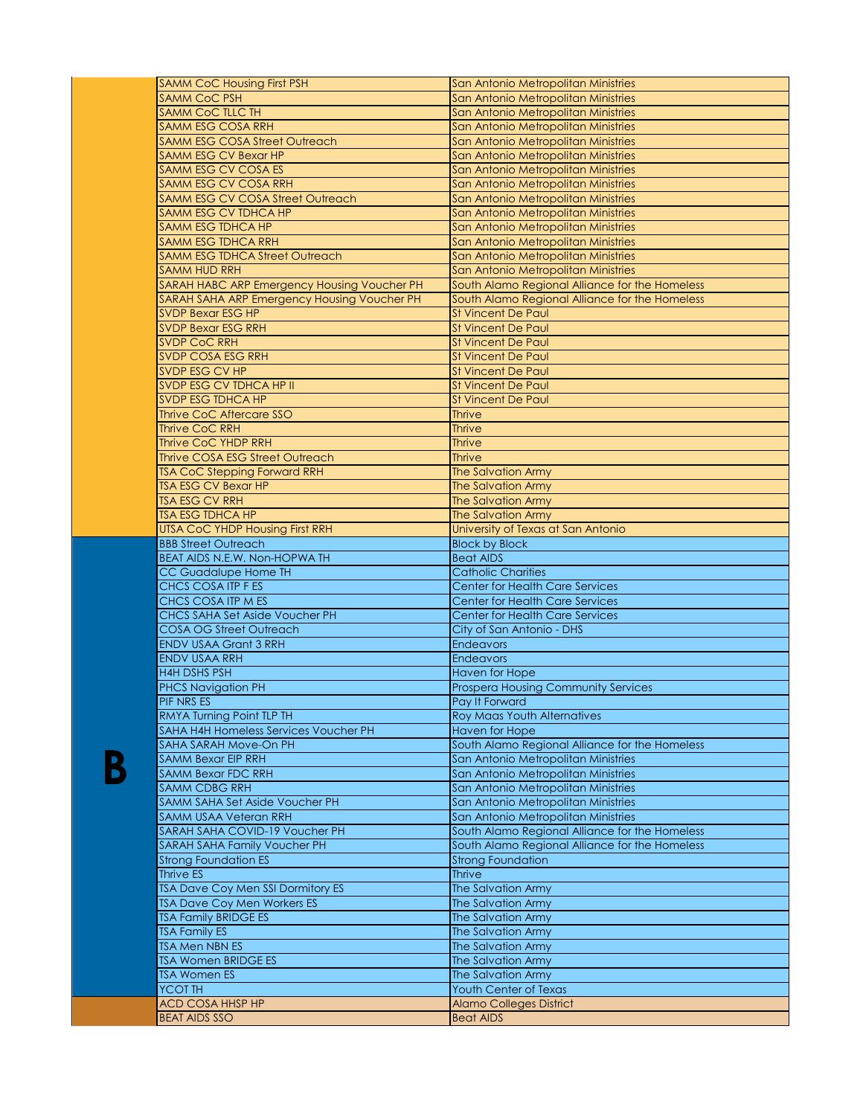| <b>SAMM CoC Housing First PSH</b>           | San Antonio Metropolitan Ministries            |
|---------------------------------------------|------------------------------------------------|
| <b>SAMM CoC PSH</b>                         | San Antonio Metropolitan Ministries            |
| <b>SAMM CoC TLLC TH</b>                     | San Antonio Metropolitan Ministries            |
| SAMM ESG COSA RRH                           | San Antonio Metropolitan Ministries            |
| <b>SAMM ESG COSA Street Outreach</b>        | San Antonio Metropolitan Ministries            |
| <b>SAMM ESG CV Bexar HP</b>                 | San Antonio Metropolitan Ministries            |
| <b>SAMM ESG CV COSA ES</b>                  | San Antonio Metropolitan Ministries            |
| SAMM ESG CV COSA RRH                        | San Antonio Metropolitan Ministries            |
| <b>SAMM ESG CV COSA Street Outreach</b>     | San Antonio Metropolitan Ministries            |
| SAMM ESG CV TDHCA HP                        | San Antonio Metropolitan Ministries            |
| <b>SAMM ESG TDHCA HP</b>                    | San Antonio Metropolitan Ministries            |
| <b>SAMM ESG TDHCA RRH</b>                   | San Antonio Metropolitan Ministries            |
| <b>SAMM ESG TDHCA Street Outreach</b>       | San Antonio Metropolitan Ministries            |
| <b>SAMM HUD RRH</b>                         | San Antonio Metropolitan Ministries            |
| SARAH HABC ARP Emergency Housing Voucher PH | South Alamo Regional Alliance for the Homeless |
| SARAH SAHA ARP Emergency Housing Voucher PH | South Alamo Regional Alliance for the Homeless |
| <b>SVDP Bexar ESG HP</b>                    | St Vincent De Paul                             |
| <b>SVDP Bexar ESG RRH</b>                   | <b>St Vincent De Paul</b>                      |
| <b>SVDP CoC RRH</b>                         | <b>St Vincent De Paul</b>                      |
|                                             |                                                |
| SVDP COSA ESG RRH                           | <b>St Vincent De Paul</b>                      |
| SVDP ESG CV HP                              | <b>St Vincent De Paul</b>                      |
| SVDP ESG CV TDHCA HP II                     | <b>St Vincent De Paul</b>                      |
| <b>SVDP ESG TDHCA HP</b>                    | <b>St Vincent De Paul</b>                      |
| Thrive CoC Aftercare SSO                    | <b>Thrive</b>                                  |
| <b>Thrive CoC RRH</b>                       | <b>Thrive</b>                                  |
| <b>Thrive CoC YHDP RRH</b>                  | <b>Thrive</b>                                  |
| <b>Thrive COSA ESG Street Outreach</b>      | <b>Thrive</b>                                  |
| <b>TSA CoC Stepping Forward RRH</b>         | <b>The Salvation Army</b>                      |
| <b>TSA ESG CV Bexar HP</b>                  | <b>The Salvation Army</b>                      |
| <b>TSA ESG CV RRH</b>                       | <b>The Salvation Army</b>                      |
| <b>TSA ESG TDHCA HP</b>                     | <b>The Salvation Army</b>                      |
| <b>UTSA CoC YHDP Housing First RRH</b>      | University of Texas at San Antonio             |
| <b>BBB Street Outreach</b>                  | <b>Block by Block</b>                          |
| BEAT AIDS N.E.W. Non-HOPWA TH               | <b>Beat AIDS</b>                               |
| <b>CC Guadalupe Home TH</b>                 | <b>Catholic Charities</b>                      |
| <b>CHCS COSA ITP F ES</b>                   | <b>Center for Health Care Services</b>         |
| CHCS COSA ITP M ES                          | Center for Health Care Services                |
| CHCS SAHA Set Aside Voucher PH              | <b>Center for Health Care Services</b>         |
| <b>COSA OG Street Outreach</b>              | City of San Antonio - DHS                      |
| <b>ENDV USAA Grant 3 RRH</b>                | <b>Endeavors</b>                               |
| <b>ENDV USAA RRH</b>                        | <b>Endeavors</b>                               |
| <b>H4H DSHS PSH</b>                         | <b>Haven for Hope</b>                          |
| PHCS Navigation PH                          | <b>Prospera Housing Community Services</b>     |
| PIF NRS ES                                  | Pav It Forward                                 |
| RMYA Turning Point TLP TH                   |                                                |
| SAHA H4H Homeless Services Voucher PH       | <b>Roy Maas Youth Alternatives</b>             |
|                                             | <b>Haven for Hope</b>                          |
| SAHA SARAH Move-On PH                       | South Alamo Regional Alliance for the Homeless |
| <b>SAMM Bexar EIP RRH</b>                   | San Antonio Metropolitan Ministries            |
| <b>SAMM Bexar FDC RRH</b>                   | San Antonio Metropolitan Ministries            |
| <b>SAMM CDBG RRH</b>                        | San Antonio Metropolitan Ministries            |
| SAMM SAHA Set Aside Voucher PH              | San Antonio Metropolitan Ministries            |
| <b>SAMM USAA Veteran RRH</b>                | San Antonio Metropolitan Ministries            |
| SARAH SAHA COVID-19 Voucher PH              | South Alamo Regional Alliance for the Homeless |
| SARAH SAHA Family Voucher PH                | South Alamo Regional Alliance for the Homeless |
| <b>Strong Foundation ES</b>                 | <b>Strong Foundation</b>                       |
| Thrive ES                                   | <b>Thrive</b>                                  |
| <b>TSA Dave Coy Men SSI Dormitory ES</b>    | The Salvation Army                             |
| TSA Dave Coy Men Workers ES                 | The Salvation Army                             |
| <b>TSA Family BRIDGE ES</b>                 | The Salvation Army                             |
| <b>TSA Family ES</b>                        | The Salvation Army                             |
| <b>TSA Men NBN ES</b>                       | The Salvation Army                             |
| <b>TSA Women BRIDGE ES</b>                  | The Salvation Army                             |
| <b>TSA Women ES</b>                         | The Salvation Army                             |
| YCOT TH                                     | Youth Center of Texas                          |
| <b>ACD COSA HHSP HP</b>                     | <b>Alamo Colleges District</b>                 |
| <b>BEAT AIDS SSO</b>                        | <b>Beat AIDS</b>                               |
|                                             |                                                |